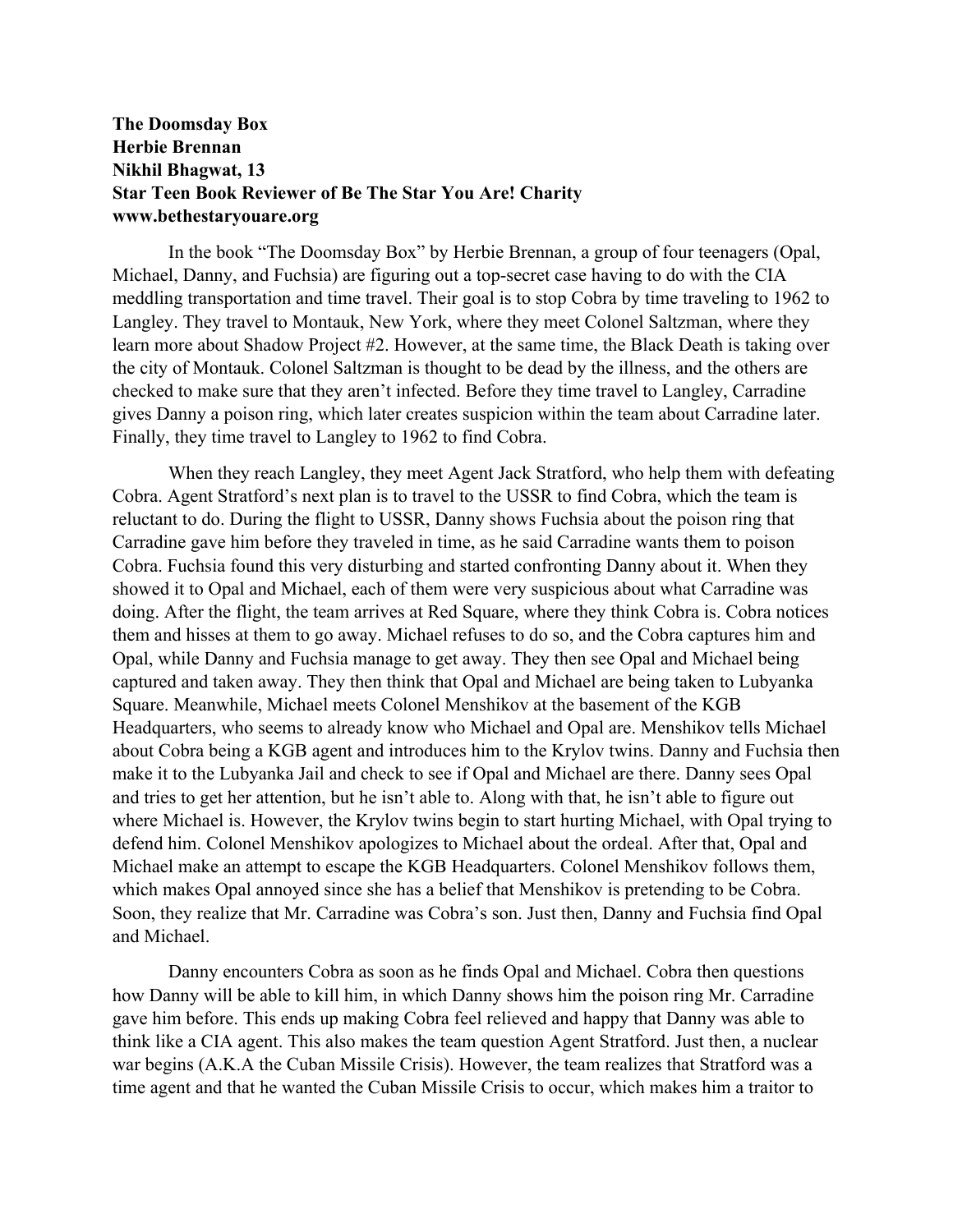## **The Doomsday Box Herbie Brennan Nikhil Bhagwat, 13 Star Teen Book Reviewer of Be The Star You Are! Charity www.bethestaryouare.org**

In the book "The Doomsday Box" by Herbie Brennan, a group of four teenagers (Opal, Michael, Danny, and Fuchsia) are figuring out a top-secret case having to do with the CIA meddling transportation and time travel. Their goal is to stop Cobra by time traveling to 1962 to Langley. They travel to Montauk, New York, where they meet Colonel Saltzman, where they learn more about Shadow Project #2. However, at the same time, the Black Death is taking over the city of Montauk. Colonel Saltzman is thought to be dead by the illness, and the others are checked to make sure that they aren't infected. Before they time travel to Langley, Carradine gives Danny a poison ring, which later creates suspicion within the team about Carradine later. Finally, they time travel to Langley to 1962 to find Cobra.

When they reach Langley, they meet Agent Jack Stratford, who help them with defeating Cobra. Agent Stratford's next plan is to travel to the USSR to find Cobra, which the team is reluctant to do. During the flight to USSR, Danny shows Fuchsia about the poison ring that Carradine gave him before they traveled in time, as he said Carradine wants them to poison Cobra. Fuchsia found this very disturbing and started confronting Danny about it. When they showed it to Opal and Michael, each of them were very suspicious about what Carradine was doing. After the flight, the team arrives at Red Square, where they think Cobra is. Cobra notices them and hisses at them to go away. Michael refuses to do so, and the Cobra captures him and Opal, while Danny and Fuchsia manage to get away. They then see Opal and Michael being captured and taken away. They then think that Opal and Michael are being taken to Lubyanka Square. Meanwhile, Michael meets Colonel Menshikov at the basement of the KGB Headquarters, who seems to already know who Michael and Opal are. Menshikov tells Michael about Cobra being a KGB agent and introduces him to the Krylov twins. Danny and Fuchsia then make it to the Lubyanka Jail and check to see if Opal and Michael are there. Danny sees Opal and tries to get her attention, but he isn't able to. Along with that, he isn't able to figure out where Michael is. However, the Krylov twins begin to start hurting Michael, with Opal trying to defend him. Colonel Menshikov apologizes to Michael about the ordeal. After that, Opal and Michael make an attempt to escape the KGB Headquarters. Colonel Menshikov follows them, which makes Opal annoyed since she has a belief that Menshikov is pretending to be Cobra. Soon, they realize that Mr. Carradine was Cobra's son. Just then, Danny and Fuchsia find Opal and Michael.

Danny encounters Cobra as soon as he finds Opal and Michael. Cobra then questions how Danny will be able to kill him, in which Danny shows him the poison ring Mr. Carradine gave him before. This ends up making Cobra feel relieved and happy that Danny was able to think like a CIA agent. This also makes the team question Agent Stratford. Just then, a nuclear war begins (A.K.A the Cuban Missile Crisis). However, the team realizes that Stratford was a time agent and that he wanted the Cuban Missile Crisis to occur, which makes him a traitor to